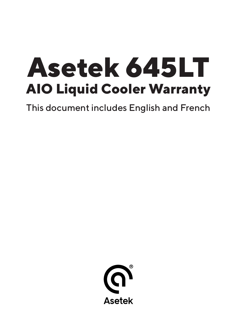# **Asetek 645LT AIO Liquid Cooler Warranty**

This document includes English and French

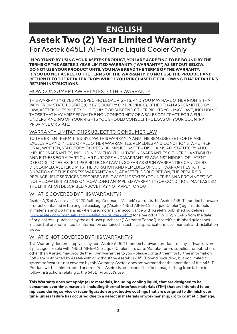# **ENGLISH**

# **Asetek Two (2) Year Limited Warranty** For Asetek 645LT All-In-One Liquid Cooler Only

**IMPORTANT: BY USING YOUR ASETEK PRODUCT, YOU ARE AGREEING TO BE BOUND BY THE TERMS OF THE ASETEK 2 YEAR LIMITED WARRANTY ("WARRANTY") AS SET OUT BELOW. DO NOT USE YOUR PRODUCT UNTIL YOU HAVE READ THE TERMS OF THE WARRANTY. IF YOU DO NOT AGREE TO THE TERMS OF THE WARRANTY, DO NOT USE THE PRODUCT AND RETURN IT TO THE RETAILER FROM WHICH YOU PURCHASED IT FOLLOWING THAT RETAILER'S RETURN INSTRUCTIONS.**

### HOW CONSUMER LAW RELATES TO THIS WARRANTY

THIS WARRANTY GIVES YOU SPECIFIC LEGAL RIGHTS, AND YOU MAY HAVE OTHER RIGHTS THAT VARY FROM STATE TO STATE (OR BY COUNTRY OR PROVINCE). OTHER THAN AS PERMITTED BY LAW, ASETEK DOES NOT EXCLUDE, LIMIT OR SUSPEND OTHER RIGHTS YOU MAY HAVE, INCLUDING THOSE THAT MAY ARISE FROM THE NONCONFORMITY OF A SALES CONTRACT. FOR A FULL UNDERSTANDING OF YOUR RIGHTS YOU SHOULD CONSULT THE LAWS OF YOUR COUNTRY, PROVINCE OR STATE.

### WARRANTY LIMITATIONS SUBJECT TO CONSUMER LAW

TO THE EXTENT PERMITTED BY LAW, THIS WARRANTY AND THE REMEDIES SET FORTH ARE EXCLUSIVE AND IN LIEU OF ALL OTHER WARRANTIES, REMEDIES AND CONDITIONS, WHETHER ORAL, WRITTEN, STATUTORY, EXPRESS OR IMPLIED. ASETEK DISCLAIMS ALL STATUTORY AND IMPLIED WARRANTIES, INCLUDING WITHOUT LIMITATION, WARRANTIES OF MERCHANTABILITY AND FITNESS FOR A PARTICULAR PURPOSE AND WARRANTIES AGAINST HIDDEN OR LATENT DEFECTS, TO THE EXTENT PERMITTED BY LAW. IN SO FAR AS SUCH WARRANTIES CANNOT BE DISCLAIMED, ASETEK LIMITS THE DURATION AND REMEDIES OF SUCH WARRANTIES TO THE DURATION OF THIS EXPRESS WARRANTY AND, AT ASETEK'S SOLE OPTION, THE REPAIR OR REPLACEMENT SERVICES DESCRIBED BELOW. SOME STATES (COUNTRIES AND PROVINCES) DO NOT ALLOW LIMITATIONS ON HOW LONG AN IMPLIED WARRANTY (OR CONDITION) MAY LAST, SO THE LIMITATION DESCRIBED ABOVE MAY NOT APPLY TO YOU.

### WHAT IS COVERED BY THIS WARRANTY?

Asetek A/S of Assensvej 2, 9220 Aalborg, Denmark ("Asetek") warrants the Asetek 645LT branded hardware product contained in the original packaging ("Asetek 645LT All-In-One Liquid Cooler") against defects in materials and workmanship when used normally in accordance with Asetek's published guidelines ([www.asetek.com/manuals-and-installation-guides/645lt\)](http://www.asetek.com/manuals-and-installation-guides/645lt) for a period of TWO (2) YEARS from the date of original retail purchase by the end-user purchaser ("Warranty Period"). Asetek's published guidelines include but are not limited to information contained in technical specifications, user manuals and installation video.

### WHAT IS NOT COVERED BY THIS WARRANTY?

This Warranty does not apply to any non-Asetek 645LT branded hardware products or any software, even if packaged or sold with 645LT All-In-One Liquid Cooler hardware. Manufacturers, suppliers, or publishers, other than Asetek, may provide their own warranties to you – please contact them for further information. Software distributed by Asetek with or without the Asetek or 645LT brand (including, but not limited to system software) is not covered by this Warranty. Asetek does not warrant that the operation of the 645LT Product will be uninterrupted or error-free. Asetek is not responsible for damage arising from failure to follow instructions relating to the 645LT Product's use.

**This Warranty does not apply: (a) to materials, including cooling liquid, that are designed to be consumed over time, materials, including thermal interface materials (TIM) that are intended to be replaced during service or reconfiguration or protective coatings that are designed to diminish over time, unless failure has occurred due to a defect in materials or workmanship; (b) to cosmetic damage,**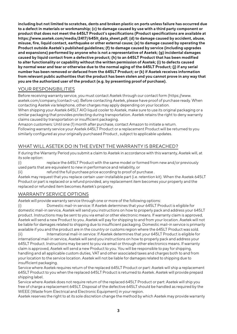**including but not limited to scratches, dents and broken plastic on ports unless failure has occurred due to a defect in materials or workmanship; (c) to damage caused by use with a third party component or product that does not meet the 645LT Product's specifications (Product specifications are available at https://www.asetek.com/media/2417/645lt\_data\_sheet.pdf; (d) to damage caused by accident, abuse, misuse, fire, liquid contact, earthquake or other external cause; (e) to damage caused by operating the Product outside Asetek's published guidelines; (f) to damage caused by service (including upgrades and expansions) performed by anyone who is not a representative of Asetek; (g) incidental damages caused by liquid contact from a defective product; (h) to an 645LT Product that has been modified to alter functionality or capability without the written permission of Asetek; (i) to defects caused by normal wear and tear or otherwise due to the normal aging of the 645LT Product; (j) if any serial number has been removed or defaced from the 645LT Product; or (k) if Asetek receives information from relevant public authorities that the product has been stolen and you cannot prove in any way that you are the authorized user of the product (e.g. by presenting proof of purchase).**

### YOUR RESPONSIBILITIES

Before receiving warranty service, you must contact Asetek through our contact form (https://www. asetek.com/company/contact-us). Before contacting Asetek, please have proof of purchase ready. When contacting Asetek via telephone, other charges may apply depending on your location.

When shipping your Asetek 645LT AIO liquid cooler to Asetek, make sure to use its original packaging or a similar packaging that provides protecting during transportation. Asetek retains the right to deny warranty claims caused by transportation or insufficient packaging.

Amazon customers: Until one (1) month after purchase, contact Amazon to initiate a return. Following warranty service your Asetek 645LT Product or a replacement Product will be returned to you similarly configured as your originally purchased Product , subject to applicable updates.

### WHAT WILL ASETEK DO IN THE EVENT THE WARRANTY IS BREACHED?

If during the Warranty Period you submit a claim to Asetek in accordance with this warranty, Asetek will, at its sole option:

(i) replace the 645LT Product with the same model or formed from new and/or previously used parts that are equivalent to new in performance and reliability, or

(ii) refund the full purchase price according to proof of purchase .

Asetek may request that you replace certain user-installable part (i.e. retention kit). When the Asetek 645LT Product or part is replaced or a refund provided, any replacement item becomes your property and the replaced or refunded item becomes Asetek's property.

### WARRANTY SERVICE OPTIONS

Asetek will provide warranty service through one or more of the following options:

(i) Domestic mail-in service: If Asetek determines that your 645LT Product is eligible for domestic mail-in service, Asetek will send you instructions on how to properly pack and address your 645LT product. Instructions may be sent to you via email or other electronic means. If warranty claim is approved, Asetek will send a new Product to you. Asetek will pay for shipping to and from your location. Asetek will not be liable for damages related to shipping due to insufficient packaging. Domestic mail-in service is primarily available if you and the product are in the country or customs region where the 645LT Product was sold.

(ii) International mail-in service: If Asetek determines that your 645LT Product is eligible for international mail-in service, Asetek will send you instructions on how to properly pack and address your 645LT Product. Instructions may be sent to you via email or through other electronics means. If warranty claim is approved, Asetek will send a new Product to you. You will be responsible to pay for shipping, handling and all applicable custom duties, VAT and other associated taxes and charges both to and from your location to the service location. Asetek will not be liable for damages related to shipping due to insufficient packaging.

Service where Asetek requires return of the replaced 645LT Product or part: Asetek will ship a replacement 645LT Product to you when the replaced 645LT Product is returned to Asetek. Asetek will provide prepaid shipping label.

Service where Asetek does not require return of the replaced 645LT Product or part: Asetek will ship you free of charge a replacement 645LT. Disposal of the defective 645LT should be handled as required by the WEEE (Waste from Electrical and Electronic Equipment) in your region.

Asetek reserves the right to at its sole discretion change the method by which Asetek may provide warranty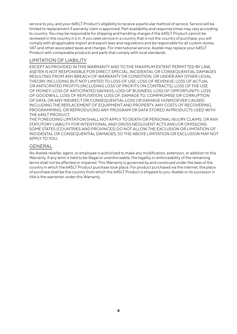service to you, and your 645LT Product's eligibility to receive a particular method of service. Service will be limited to replacement if warranty claim is approved. Part availability and response times may vary according to country. You may be responsible for shipping and handling charges if the 645LT Product cannot be reviewed in the country it is in. If you seek service in a country that is not the country of purchase, you will comply with all applicable import and export laws and regulations and be responsible for all custom duties, VAT and other associated taxes and charges. For international service, Asetek may replace your 645LT Product with comparable products and parts that comply with local standards.

### LIMITATION OF LIABILITY

EXCEPT AS PROVIDED IN THIS WARRANTY AND TO THE MAXIMUM EXTENT PERMITTED BY LAW, ASETEK IS NOT RESPONSIBLE FOR DIRECT, SPECIAL, INCIDENTAL OR CONSEQUENTIAL DAMAGES RESULTING FROM ANY BREACH OF WARRANTY OR CONDITION, OR UNDER ANY OTHER LEGAL THEORY, INCLUDING BUT NOT LIMITED TO LOSS OF USE; LOSS OF REVENUE; LOSS OF ACTUAL OR ANTICIPATED PROFITS (INCLUDING LOSS OF PROFITS ON CONTRACTS); LOSS OF THE USE OF MONEY; LOSS OF ANTICIPATED SAVINGS; LOSS OF BUSINESS; LOSS OF OPPORTUNITY; LOSS OF GOODWILL; LOSS OF REPUTATION; LOSS OF, DAMAGE TO, COMPROMISE OR CORRUPTION OF DATA; OR ANY INDIRECT OR CONSEQUENTIAL LOSS OR DAMAGE HOWSOEVER CAUSED INCLUDING THE REPLACEMENT OF EQUIPMENT AND PROPERTY, ANY COSTS OF RECOVERING, PROGRAMMING, OR REPRODUCING ANY PROGRAM OR DATA STORED IN PRODUCTS USED WITH THE 645LT PRODUCT.

THE FOREGOING LIMITATION SHALL NOT APPLY TO DEATH OR PERSONAL INJURY CLAIMS, OR ANY STATUTORY LIABILITY FOR INTENTIONAL AND GROSS NEGLIGENT ACTS AND/OR OMISSIONS. SOME STATES (COUNTRIES AND PROVINCES) DO NOT ALLOW THE EXCLUSION OR LIMITATION OF INCIDENTAL OR CONSEQUENTIAL DAMAGES, SO THE ABOVE LIMITATION OR EXCLUSION MAY NOT APPLY TO YOU.

### GENERAL

No Asetek reseller, agent, or employee is authorized to make any modification, extension, or addition to this Warranty. If any term is held to be illegal or unenforceable, the legality or enforceability of the remaining terms shall not be affected or impaired. This Warranty is governed by and construed under the laws of the country in which the 645LT Product purchase took place. For product purchased via the internet, the place of purchase shall be the country from which the 645LT Product is shipped to you. Asetek or its successor in title is the warrantor under this Warranty.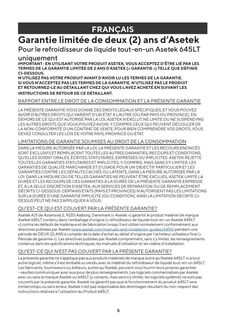# **FRANÇAIS**

# **Garantie limitée de deux (2) ans d'Asetek**

### Pour le refroidisseur de liquide tout-en-un Asetek 645LT

### uniquement

**IMPORTANT : EN UTILISANT VOTRE PRODUIT ASETEK, VOUS ACCEPTEZ D'ÊTRE LIÉ PAR LES TERMES DE LA GARANTIE LIMITÉE DE 2 ANS D'ASETEK (« GARANTIE ») TELLE QUE DÉFINIE CI-DESSOUS.**

**N'UTILISEZ PAS VOTRE PRODUIT AVANT D'AVOIR LU LES TERMES DE LA GARANTIE. SI VOUS N'ACCEPTEZ PAS LES TERMES DE LA GARANTIE, N'UTILISEZ PAS LE PRODUIT ET RETOURNEZ-LE AU DÉTAILLANT CHEZ QUI VOUS L'AVEZ ACHETÉ EN SUIVANT LES INSTRUCTIONS DE RETOUR DE CE DÉTAILLANT.**

### RAPPORT ENTRE LE DROIT DE LA CONSOMMATION ET LA PRÉSENTE GARANTIE

LA PRÉSENTE GARANTIE VOUS DONNE DES DROITS LÉGAUX SPÉCIFIQUES, ET VOUS POUVEZ AVOIR D'AUTRES DROITS QUI VARIENT D'UN ÉTAT À L'AUTRE (OU PAR PAYS OU PROVINCE). EN DEHORS DE CE QUI EST AUTORISÉ PAR LA LOI, ASETEK N'EXCLUT, NE LIMITE OU NE SUSPEND PAS LES AUTRES DROITS QUE VOUS POUVEZ AVOIR, Y COMPRIS CEUX QUI PEUVENT DÉCOULER DE LA NON-CONFORMITÉ D'UN CONTRAT DE VENTE. POUR BIEN COMPRENDRE VOS DROITS, VOUS DEVEZ CONSULTER LES LOIS DE VOTRE PAYS, PROVINCE OU ÉTAT.

### LIMITATIONS DE GARANTIE SOUMISES AU DROIT DE LA CONSOMMATION

DANS LA MESURE AUTORISÉE PAR LA LOI, LA PRÉSENTE GARANTIE ET LES RECOURS ÉNONCÉS SONT EXCLUSIFS ET REMPLACENT TOUTES LES AUTRES GARANTIES, RECOURS ET CONDITIONS, QU'ELLES SOIENT ORALES, ÉCRITES, STATUTAIRES, EXPRESSES OU IMPLICITES. ASETEK REJETTE TOUTES LES GARANTIES STATUTAIRES ET IMPLICITES, Y COMPRIS, MAIS SANS S'Y LIMITER, LES GARANTIES DE QUALITÉ MARCHANDE ET D'USAGE POUR UN OBJECTIF PARTICULIER ET LES GARANTIES CONTRE LES DÉFAUTS CACHÉS OU LATENTS, DANS LA MESURE AUTORISÉE PAR LA LOI. DANS LA MESURE OÙ DE TELLES GARANTIES NE PEUVENT ÊTRE EXCLUES, ASETEK LIMITE LA DURÉE ET LES RECOURS DE CES GARANTIES À LA DURÉE DE LA PRÉSENTE GARANTIE EXPRESSE ET, À LA SEULE DISCRÉTION D'ASETEK, AUX SERVICES DE RÉPARATION OU DE REMPLACEMENT DÉCRITS CI-DESSOUS. CERTAINS ÉTATS (PAYS ET PROVINCES) N'AUTORISENT PAS LES LIMITATIONS SUR LA DURÉE D'UNE GARANTIE IMPLICITE (OU CONDITION), AINSI LA LIMITATION DÉCRITE CI-DESSUS PEUT NE PAS S'APPLIQUER À VOUS.

### QU'EST-CE QUI EST COUVERT PAR LA PRÉSENTE GARANTIE?

Asetek A/S de Assensvej 2, 9220 Aalborg, Danemark (« Asetek ») garantit le produit matériel de marque Asetek 645LT contenu dans l'emballage d'origine (« refroidisseur de liquide tout-en-un Asetek 645LT ») contre les défauts de matériaux et de fabrication lorsqu'il est utilisé normalement conformément aux directives publiées par Asetek [\(www.asetek.com/manuals-and-installation-guides/645lt](http://www.asetek.com/manuals-and-installation-guides/645lt)) pendant une période de DEUX (2) ANS à compter de la date d'achat au détail d'origine par l'acheteur utilisateur final (« Période de garantie »). Les directives publiées par Asetek comprennent, sans s'y limiter, les renseignements contenus dans les spécifications techniques, les manuels d'utilisation et les vidéos d'installation.

### QU'EST-CE QUI N'EST PAS COUVERT PAR LA PRÉSENTE GARANTIE?

La présente garantie ne s'applique pas aux produits matériels de marque autre qu'Asetek 645LT ni à tout autre logiciel, même s'il est emballé ou vendu avec le matériel du refroidisseur de liquide tout-en-un 645LT. Les fabricants, fournisseurs ou éditeurs, autres qu'Asetek, peuvent vous fournir leurs propres garanties - veuillez communiquer avec eux pour de plus renseignements. Les logiciels commercialisés par Asetek avec ou sans la marque Asetek ou 645LT (y compris, mais sans s'y limiter, les logiciels système) ne sont pas couverts par la présente garantie. Asetek ne garantit pas que le fonctionnement du produit 645LT sera ininterrompu ou sans erreur. Asetek n'est pas responsable des dommages résultant du non-respect des instructions relatives à l'utilisation du Produit 645LT.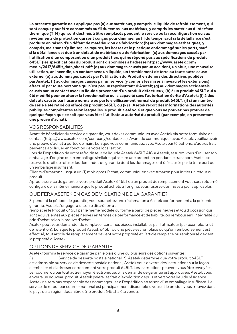**La présente garantie ne s'applique pas (a) aux matériaux, y compris le liquide de refroidissement, qui sont conçus pour être consommés au fil du temps, aux matériaux, y compris les matériaux d'interface thermique (TIM) qui sont destinés à être remplacés pendant le service ou la reconfiguration ou aux revêtements de protection qui sont conçus pour diminuer au fil du temps, sauf si la défaillance s'est produite en raison d'un défaut de matériaux ou de fabrication; (b) aux dommages esthétiques, y compris, mais sans s'y limiter, les rayures, les bosses et le plastique endommagé sur les ports, sauf si la défaillance est due à un défaut de matériaux ou de fabrication; (c) aux dommages causés par l'utilisation d'un composant ou d'un produit tiers qui ne répond pas aux spécifications du produit 645LT (les spécifications du produit sont disponibles à l'adresse https : //www. asetek.com/ media/2417/645lt\_data\_sheet.pdf; (d) aux dommages causés par un accident, un abus, une mauvaise utilisation, un incendie, un contact avec un liquide, un tremblement de terre ou toute autre cause externe; (e) aux dommages causés par l'utilisation du Produit en dehors des directives publiées par Asetek; (f) aux dommages causés par un service (y compris les mises à niveau et les extensions) effectué par toute personne qui n'est pas un représentant d'Asetek; (g) aux dommages accidentels causés par un contact avec un liquide provenant d'un produit défectueux; (h) à un produit 645LT qui a été modifié pour en altérer la fonctionnalité ou la capacité sans l'autorisation écrite d'Asetek; (i) à des défauts causés par l'usure normale ou par le vieillissement normal du produit 645LT; (j) si un numéro de série a été retiré ou effacé du produit 645LT; ou (k) si Asetek reçoit des informations des autorités publiques compétentes selon lesquelles le produit a été volé et que vous ne pouvez pas prouver de quelque façon que ce soit que vous êtes l'utilisateur autorisé du produit (par exemple, en présentant une preuve d'achat).**

### VOS RESPONSABILITÉS

Avant de bénéficier du service de garantie, vous devez communiquer avec Asetek via notre formulaire de contact (https://www.asetek.com/company/contact-us). Avant de communiquer avec Asetek, veuillez avoir une preuve d'achat à portée de main. Lorsque vous communiquez avec Asetek par téléphone, d'autres frais peuvent s'appliquer en fonction de votre localisation.

Lors de l'expédition de votre refroidisseur de liquide Asetek 645LT AIO à Asetek, assurez-vous d'utiliser son emballage d'origine ou un emballage similaire qui assure une protection pendant le transport. Asetek se réserve le droit de refuser les demandes de garantie dont les dommages ont été causés par le transport ou un emballage insuffisant.

Clients d'Amazon : Jusqu'à un (1) mois après l'achat, communiquez avec Amazon pour initier un retour du produit.

Après le service de garantie, votre produit Asetek 645LT ou un produit de remplacement vous sera retourné configuré de la même manière que le produit acheté à l'origine, sous réserve des mises à jour applicables.

#### QUE FERA ASETEK EN CAS DE VIOLATION DE LA GARANTIE?

Si pendant la période de garantie, vous soumettez une réclamation à Asetek conformément à la présente garantie, Asetek s'engage, à sa seule discrétion à :

remplacer le Produit 645LT par le même modèle ou formé à partir de pièces neuves et/ou d'occasion qui sont équivalentes aux pièces neuves en termes de performance et de fiabilité, ou rembourser l'intégralité du prix d'achat selon la preuve d'achat.

Asetek peut vous demander de remplacer certaines pièces installables par l'utilisateur (par exemple, le kit de rétention). Lorsque le produit Asetek 645LT ou une pièce est remplacé ou qu'un remboursement est effectué, tout article de remplacement devient votre propriété et l'article remplacé ou remboursé devient la propriété d'Asetek.

### OPTIONS DE SERVICE DE GARANTIE

Asetek fournira le service de garantie par le biais d'une ou plusieurs des options suivantes :

(i) Service de desserte postale national : Si Asetek détermine que votre produit 645LT est admissible au service de desserte postale national, Asetek vous enverra des instructions sur la façon d'emballer et d'adresser correctement votre produit 645LT. Les instructions peuvent vous être envoyées par courriel ou par tout autre moyen électronique. Si la demande de garantie est approuvée, Asetek vous enverra un nouveau produit. Asetek paiera les frais d'expédition depuis et vers votre lieu de résidence. Asetek ne sera pas responsable des dommages liés à l'expédition en raison d'un emballage insuffisant. Le service de retour par courrier national est principalement disponible si vous et le produit vous trouvez dans le pays ou la région douanière où le produit 645LT a été vendu.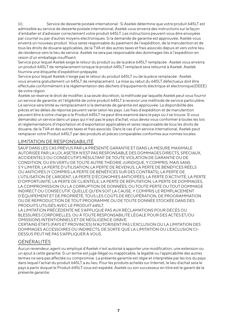(ii) Service de desserte postale international : Si Asetek détermine que votre produit 645LT est admissible au service de desserte postale international, Asetek vous enverra des instructions sur la façon d'emballer et d'adresser correctement votre produit 645LT. Les instructions peuvent vous être envoyées par courriel ou par d'autres moyens électroniques. Si la demande de garantie est approuvée, Asetek vous enverra un nouveau produit. Vous serez responsable du paiement de l'expédition, de la manutention et de tous les droits de douane applicables, de la TVA et des autres taxes et frais associés depuis et vers votre lieu de résidence vers le lieu de service. Asetek ne sera pas responsable des dommages liés à l'expédition en raison d'un emballage insuffisant.

Service pour lequel Asetek exige le retour du produit ou de la pièce 645LT remplacée : Asetek vous enverra un produit 645LT de remplacement lorsque le produit 645LT remplacé sera retourné à Asetek. Asetek fournira une étiquette d'expédition prépayée.

Service pour lequel Asetek n'exige pas le retour du produit 645LT ou de la pièce remplacée : Asetek vous enverra gratuitement un 645LT de remplacement. La mise au rebut du 645LT défectueux doit être effectuée conformément à la réglementation des déchets d'équipements électrique et électronique(DEEE) de votre région.

Asetek se réserve le droit de modifier, à sa seule discrétion, la méthode par laquelle Asetek peut vous fournir un service de garantie, et l'éligibilité de votre produit 645LT à recevoir une méthode de service particulière. Le service sera limité au remplacement si la demande de garantie est approuvée. La disponibilité des pièces et les délais de réponse peuvent varier selon les pays. Les frais d'expédition et de manutention peuvent être à votre charge si le Produit 645LT ne peut être examiné dans le pays où il se trouve. Si vous demandez un service dans un pays qui n'est pas le pays d'achat, vous devez vous conformer à toutes les lois et réglementations d'importation et d'exportation applicables et serez responsable de tous les droits de douane, de la TVA et des autres taxes et frais associés. Dans le cas d'un service international, Asetek peut remplacer votre Produit 645LT par des produits et pièces comparables conformes aux normes locales.

### LIMITATION DE RESPONSABILITÉ

SAUF DANS LES CAS PRÉVUS PAR LA PRÉSENTE GARANTIE ET DANS LA MESURE MAXIMALE AUTORISÉE PAR LA LOI, ASETEK N'EST PAS RESPONSABLE DES DOMMAGES DIRECTS, SPÉCIAUX, ACCIDENTELS OU CONSÉCUTIFS RÉSULTANT DE TOUTE VIOLATION DE GARANTIE OU DE CONDITION, OU EN VERTU DE TOUTE AUTRE THÉORIE JURIDIQUE, Y COMPRIS, MAIS SANS S'Y LIMITER, LA PERTE D'UTILISATION, LA PERTE DE REVENUS, LA PERTE DE BÉNÉFICES RÉELS OU ANTICIPÉS (Y COMPRIS LA PERTE DE BÉNÉFICES SUR DES CONTRATS); LA PERTE DE L'UTILISATION DE L'ARGENT; LA PERTE D'ÉCONOMIES ANTICIPÉES; LA PERTE D'ACTIVITÉ; LA PERTE D'OPPORTUNITÉ; LA PERTE DE CLIENTÈLE; LA PERTE DE RÉPUTATION; LA PERTE DE DOMMAGES, LA COMPROMISSION OU LA CORRUPTION DE DONNÉES; OU TOUTE PERTE OU TOUT DOMMAGE INDIRECT OU CONSÉCUTIF, QUELLE QU'EN SOIT LA CAUSE, Y COMPRIS LE REMPLACEMENT D'ÉQUIPEMENT ET DE PROPRIÉTÉ, TOUS LES COÛTS DE RÉCUPÉRATION, DE PROGRAMMATION OU DE REPRODUCTION DE TOUT PROGRAMME OU DE TOUTE DONNÉE STOCKÉE DANS DES PRODUITS UTILISÉS AVEC LE PRODUIT 645LT.

LA LIMITATION PRÉCÉDENTE NE S'APPLIQUE PAS AUX RÉCLAMATIONS POUR DÉCÈS OU BLESSURES CORPORELLES, OU À TOUTE RESPONSABILITÉ LÉGALE POUR DES ACTES ET/OU OMISSIONS INTENTIONNELS ET DE NÉGLIGENCE GRAVE.

CERTAINS ÉTATS (PAYS ET PROVINCES) N'AUTORISENT PAS L'EXCLUSION OU LA LIMITATION DES DOMMAGES ACCESSOIRES OU INDIRECTS, DE SORTE QUE LA LIMITATION OU L'EXCLUSION CI-DESSUS PEUT NE PAS S'APPLIQUER À VOUS.

### GÉNÉRALITÉS

Aucun revendeur, agent ou employé d'Asetek n'est autorisé à apporter une modification, une extension ou un ajout à cette garantie. Si un terme est jugé illégal ou inapplicable, la légalité ou l'applicabilité des autres termes ne sera pas affectée ou compromise. La présente garantie est régie et interprétée par les lois du pays dans lequel l'achat du produit 645LT a eu lieu. Pour les produits achetés sur Internet, le lieu d'achat sera le pays à partir duquel le Produit 645LT vous est expédié. Asetek ou son successeur en titre est le garant de la présente garantie.